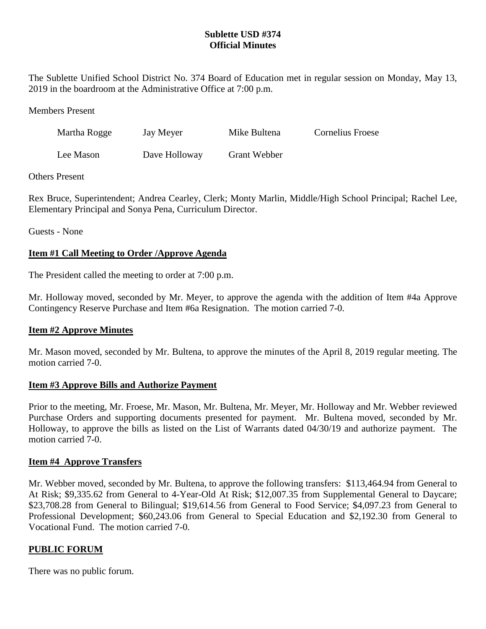# **Sublette USD #374 Official Minutes**

The Sublette Unified School District No. 374 Board of Education met in regular session on Monday, May 13, 2019 in the boardroom at the Administrative Office at 7:00 p.m.

#### Members Present

| Martha Rogge | Jay Meyer     | Mike Bultena        | Cornelius Froese |
|--------------|---------------|---------------------|------------------|
| Lee Mason    | Dave Holloway | <b>Grant Webber</b> |                  |

#### Others Present

Rex Bruce, Superintendent; Andrea Cearley, Clerk; Monty Marlin, Middle/High School Principal; Rachel Lee, Elementary Principal and Sonya Pena, Curriculum Director.

Guests - None

#### **Item #1 Call Meeting to Order /Approve Agenda**

The President called the meeting to order at 7:00 p.m.

Mr. Holloway moved, seconded by Mr. Meyer, to approve the agenda with the addition of Item #4a Approve Contingency Reserve Purchase and Item #6a Resignation. The motion carried 7-0.

#### **Item #2 Approve Minutes**

Mr. Mason moved, seconded by Mr. Bultena, to approve the minutes of the April 8, 2019 regular meeting. The motion carried 7-0.

#### **Item #3 Approve Bills and Authorize Payment**

Prior to the meeting, Mr. Froese, Mr. Mason, Mr. Bultena, Mr. Meyer, Mr. Holloway and Mr. Webber reviewed Purchase Orders and supporting documents presented for payment. Mr. Bultena moved, seconded by Mr. Holloway, to approve the bills as listed on the List of Warrants dated 04/30/19 and authorize payment. The motion carried 7-0.

#### **Item #4 Approve Transfers**

Mr. Webber moved, seconded by Mr. Bultena, to approve the following transfers: \$113,464.94 from General to At Risk; \$9,335.62 from General to 4-Year-Old At Risk; \$12,007.35 from Supplemental General to Daycare; \$23,708.28 from General to Bilingual; \$19,614.56 from General to Food Service; \$4,097.23 from General to Professional Development; \$60,243.06 from General to Special Education and \$2,192.30 from General to Vocational Fund. The motion carried 7-0.

#### **PUBLIC FORUM**

There was no public forum.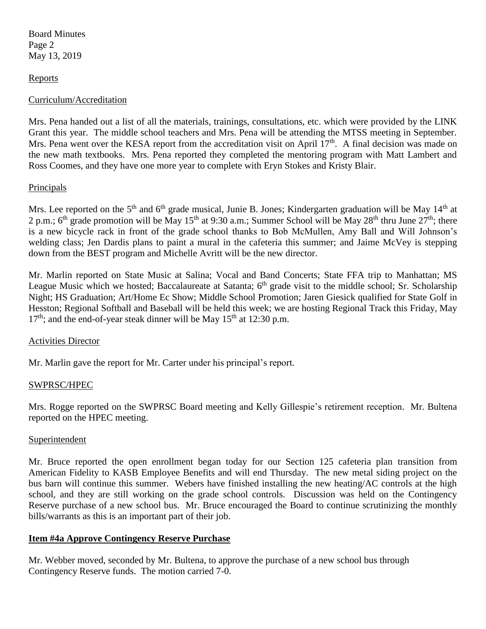Board Minutes Page 2 May 13, 2019

## **Reports**

### Curriculum/Accreditation

Mrs. Pena handed out a list of all the materials, trainings, consultations, etc. which were provided by the LINK Grant this year. The middle school teachers and Mrs. Pena will be attending the MTSS meeting in September. Mrs. Pena went over the KESA report from the accreditation visit on April 17<sup>th</sup>. A final decision was made on the new math textbooks. Mrs. Pena reported they completed the mentoring program with Matt Lambert and Ross Coomes, and they have one more year to complete with Eryn Stokes and Kristy Blair.

### **Principals**

Mrs. Lee reported on the 5<sup>th</sup> and 6<sup>th</sup> grade musical, Junie B. Jones; Kindergarten graduation will be May 14<sup>th</sup> at 2 p.m.;  $6<sup>th</sup>$  grade promotion will be May 15<sup>th</sup> at 9:30 a.m.; Summer School will be May 28<sup>th</sup> thru June  $27<sup>th</sup>$ ; there is a new bicycle rack in front of the grade school thanks to Bob McMullen, Amy Ball and Will Johnson's welding class; Jen Dardis plans to paint a mural in the cafeteria this summer; and Jaime McVey is stepping down from the BEST program and Michelle Avritt will be the new director.

Mr. Marlin reported on State Music at Salina; Vocal and Band Concerts; State FFA trip to Manhattan; MS League Music which we hosted; Baccalaureate at Satanta; 6<sup>th</sup> grade visit to the middle school; Sr. Scholarship Night; HS Graduation; Art/Home Ec Show; Middle School Promotion; Jaren Giesick qualified for State Golf in Hesston; Regional Softball and Baseball will be held this week; we are hosting Regional Track this Friday, May  $17<sup>th</sup>$ ; and the end-of-year steak dinner will be May  $15<sup>th</sup>$  at  $12:30$  p.m.

#### Activities Director

Mr. Marlin gave the report for Mr. Carter under his principal's report.

# SWPRSC/HPEC

Mrs. Rogge reported on the SWPRSC Board meeting and Kelly Gillespie's retirement reception. Mr. Bultena reported on the HPEC meeting.

#### Superintendent

Mr. Bruce reported the open enrollment began today for our Section 125 cafeteria plan transition from American Fidelity to KASB Employee Benefits and will end Thursday. The new metal siding project on the bus barn will continue this summer. Webers have finished installing the new heating/AC controls at the high school, and they are still working on the grade school controls. Discussion was held on the Contingency Reserve purchase of a new school bus. Mr. Bruce encouraged the Board to continue scrutinizing the monthly bills/warrants as this is an important part of their job.

#### **Item #4a Approve Contingency Reserve Purchase**

Mr. Webber moved, seconded by Mr. Bultena, to approve the purchase of a new school bus through Contingency Reserve funds. The motion carried 7-0.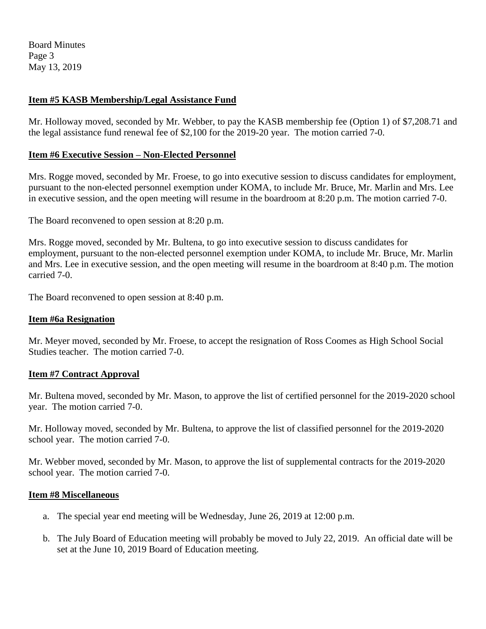Board Minutes Page 3 May 13, 2019

# **Item #5 KASB Membership/Legal Assistance Fund**

Mr. Holloway moved, seconded by Mr. Webber, to pay the KASB membership fee (Option 1) of \$7,208.71 and the legal assistance fund renewal fee of \$2,100 for the 2019-20 year. The motion carried 7-0.

### **Item #6 Executive Session – Non-Elected Personnel**

Mrs. Rogge moved, seconded by Mr. Froese, to go into executive session to discuss candidates for employment, pursuant to the non-elected personnel exemption under KOMA, to include Mr. Bruce, Mr. Marlin and Mrs. Lee in executive session, and the open meeting will resume in the boardroom at 8:20 p.m. The motion carried 7-0.

The Board reconvened to open session at 8:20 p.m.

Mrs. Rogge moved, seconded by Mr. Bultena, to go into executive session to discuss candidates for employment, pursuant to the non-elected personnel exemption under KOMA, to include Mr. Bruce, Mr. Marlin and Mrs. Lee in executive session, and the open meeting will resume in the boardroom at 8:40 p.m. The motion carried 7-0.

The Board reconvened to open session at 8:40 p.m.

## **Item #6a Resignation**

Mr. Meyer moved, seconded by Mr. Froese, to accept the resignation of Ross Coomes as High School Social Studies teacher. The motion carried 7-0.

#### **Item #7 Contract Approval**

Mr. Bultena moved, seconded by Mr. Mason, to approve the list of certified personnel for the 2019-2020 school year. The motion carried 7-0.

Mr. Holloway moved, seconded by Mr. Bultena, to approve the list of classified personnel for the 2019-2020 school year. The motion carried 7-0.

Mr. Webber moved, seconded by Mr. Mason, to approve the list of supplemental contracts for the 2019-2020 school year. The motion carried 7-0.

# **Item #8 Miscellaneous**

- a. The special year end meeting will be Wednesday, June 26, 2019 at 12:00 p.m.
- b. The July Board of Education meeting will probably be moved to July 22, 2019. An official date will be set at the June 10, 2019 Board of Education meeting.